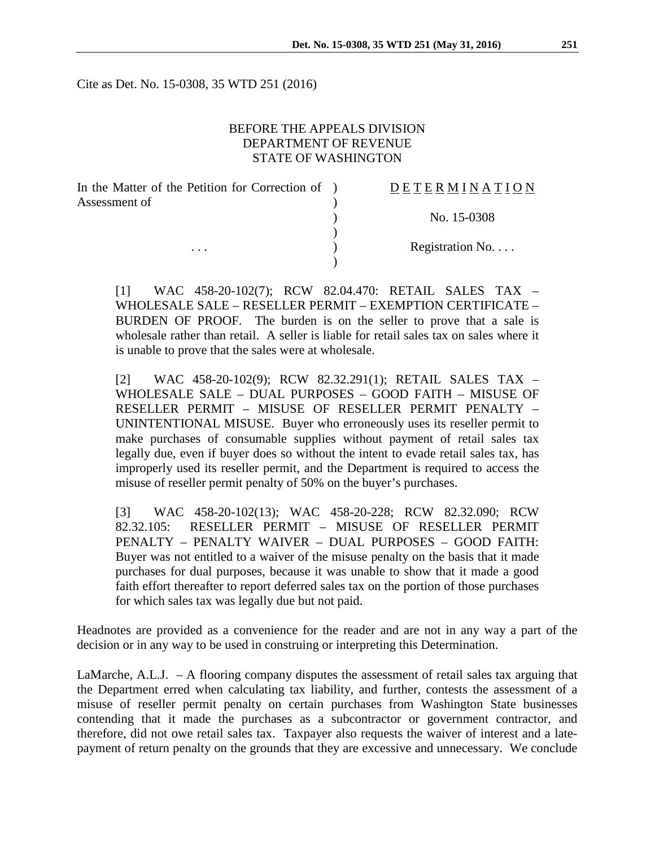Cite as Det. No. 15-0308, 35 WTD 251 (2016)

### BEFORE THE APPEALS DIVISION DEPARTMENT OF REVENUE STATE OF WASHINGTON

| In the Matter of the Petition for Correction of ) | <b>DETERMINATION</b> |
|---------------------------------------------------|----------------------|
| Assessment of<br>$\cdots$                         |                      |
|                                                   | No. 15-0308          |
|                                                   | Registration No      |
|                                                   |                      |

[1] WAC 458-20-102(7); RCW 82.04.470: RETAIL SALES TAX – WHOLESALE SALE – RESELLER PERMIT – EXEMPTION CERTIFICATE – BURDEN OF PROOF. The burden is on the seller to prove that a sale is wholesale rather than retail. A seller is liable for retail sales tax on sales where it is unable to prove that the sales were at wholesale.

[2] WAC 458-20-102(9); RCW 82.32.291(1); RETAIL SALES TAX – WHOLESALE SALE – DUAL PURPOSES – GOOD FAITH – MISUSE OF RESELLER PERMIT – MISUSE OF RESELLER PERMIT PENALTY – UNINTENTIONAL MISUSE. Buyer who erroneously uses its reseller permit to make purchases of consumable supplies without payment of retail sales tax legally due, even if buyer does so without the intent to evade retail sales tax, has improperly used its reseller permit, and the Department is required to access the misuse of reseller permit penalty of 50% on the buyer's purchases.

[3] WAC 458-20-102(13); WAC 458-20-228; RCW 82.32.090; RCW 82.32.105: RESELLER PERMIT – MISUSE OF RESELLER PERMIT PENALTY – PENALTY WAIVER – DUAL PURPOSES – GOOD FAITH: Buyer was not entitled to a waiver of the misuse penalty on the basis that it made purchases for dual purposes, because it was unable to show that it made a good faith effort thereafter to report deferred sales tax on the portion of those purchases for which sales tax was legally due but not paid.

Headnotes are provided as a convenience for the reader and are not in any way a part of the decision or in any way to be used in construing or interpreting this Determination.

LaMarche, A.L.J. – A flooring company disputes the assessment of retail sales tax arguing that the Department erred when calculating tax liability, and further, contests the assessment of a misuse of reseller permit penalty on certain purchases from Washington State businesses contending that it made the purchases as a subcontractor or government contractor, and therefore, did not owe retail sales tax. Taxpayer also requests the waiver of interest and a latepayment of return penalty on the grounds that they are excessive and unnecessary. We conclude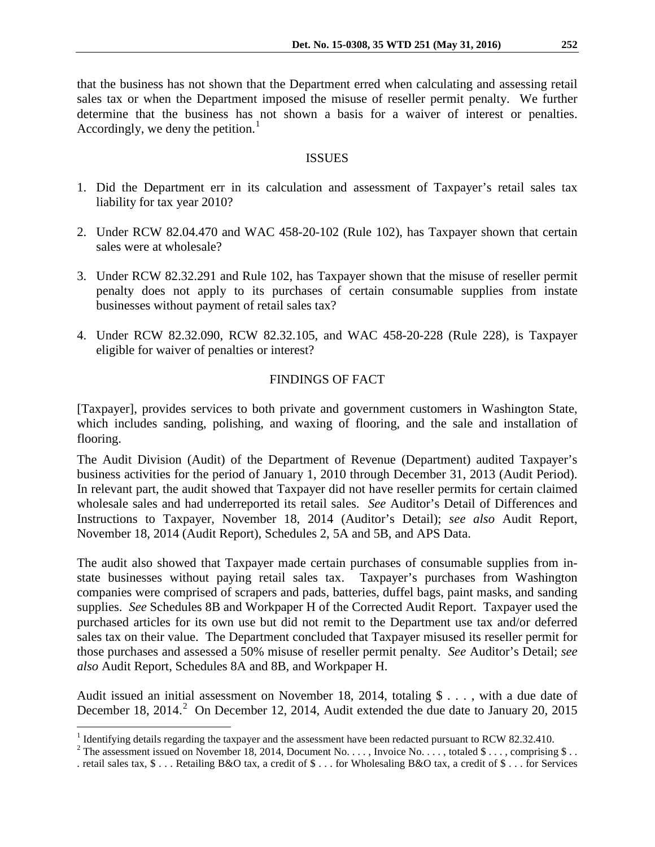that the business has not shown that the Department erred when calculating and assessing retail sales tax or when the Department imposed the misuse of reseller permit penalty. We further determine that the business has not shown a basis for a waiver of interest or penalties. Accordingly, we deny the petition.<sup>[1](#page-1-0)</sup>

#### ISSUES

- 1. Did the Department err in its calculation and assessment of Taxpayer's retail sales tax liability for tax year 2010?
- 2. Under RCW 82.04.470 and WAC 458-20-102 (Rule 102), has Taxpayer shown that certain sales were at wholesale?
- 3. Under RCW 82.32.291 and Rule 102, has Taxpayer shown that the misuse of reseller permit penalty does not apply to its purchases of certain consumable supplies from instate businesses without payment of retail sales tax?
- 4. Under RCW 82.32.090, RCW 82.32.105, and WAC 458-20-228 (Rule 228), is Taxpayer eligible for waiver of penalties or interest?

#### FINDINGS OF FACT

[Taxpayer], provides services to both private and government customers in Washington State, which includes sanding, polishing, and waxing of flooring, and the sale and installation of flooring.

The Audit Division (Audit) of the Department of Revenue (Department) audited Taxpayer's business activities for the period of January 1, 2010 through December 31, 2013 (Audit Period). In relevant part, the audit showed that Taxpayer did not have reseller permits for certain claimed wholesale sales and had underreported its retail sales. *See* Auditor's Detail of Differences and Instructions to Taxpayer, November 18, 2014 (Auditor's Detail); *see also* Audit Report, November 18, 2014 (Audit Report), Schedules 2, 5A and 5B, and APS Data.

The audit also showed that Taxpayer made certain purchases of consumable supplies from instate businesses without paying retail sales tax. Taxpayer's purchases from Washington companies were comprised of scrapers and pads, batteries, duffel bags, paint masks, and sanding supplies. *See* Schedules 8B and Workpaper H of the Corrected Audit Report. Taxpayer used the purchased articles for its own use but did not remit to the Department use tax and/or deferred sales tax on their value. The Department concluded that Taxpayer misused its reseller permit for those purchases and assessed a 50% misuse of reseller permit penalty. *See* Auditor's Detail; *see also* Audit Report, Schedules 8A and 8B, and Workpaper H.

Audit issued an initial assessment on November 18, 2014, totaling \$ . . . , with a due date of December 18, [2](#page-1-1)014.<sup>2</sup> On December 12, 2014, Audit extended the due date to January 20, 2015

<span id="page-1-1"></span><span id="page-1-0"></span><sup>&</sup>lt;sup>1</sup> Identifying details regarding the taxpayer and the assessment have been redacted pursuant to RCW 82.32.410.<br><sup>2</sup> The assessment issued on November 18, 2014, Document No. . . . , Invoice No. . . . , totaled \$ . . . , co

<sup>.</sup> retail sales tax, \$ . . . Retailing B&O tax, a credit of \$ . . . for Wholesaling B&O tax, a credit of \$ . . . for Services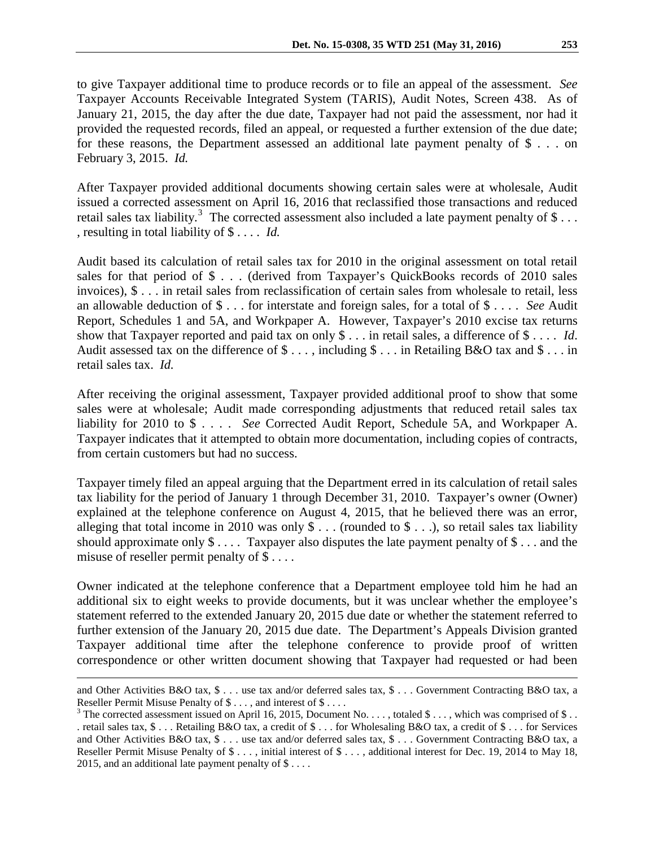to give Taxpayer additional time to produce records or to file an appeal of the assessment. *See* Taxpayer Accounts Receivable Integrated System (TARIS), Audit Notes, Screen 438. As of January 21, 2015, the day after the due date, Taxpayer had not paid the assessment, nor had it provided the requested records, filed an appeal, or requested a further extension of the due date; for these reasons, the Department assessed an additional late payment penalty of \$ . . . on February 3, 2015. *Id.*

After Taxpayer provided additional documents showing certain sales were at wholesale, Audit issued a corrected assessment on April 16, 2016 that reclassified those transactions and reduced retail sales tax liability.<sup>[3](#page-2-0)</sup> The corrected assessment also included a late payment penalty of \$... , resulting in total liability of \$ . . . . *Id.*

Audit based its calculation of retail sales tax for 2010 in the original assessment on total retail sales for that period of \$ . . . (derived from Taxpayer's QuickBooks records of 2010 sales invoices), \$ . . . in retail sales from reclassification of certain sales from wholesale to retail, less an allowable deduction of \$ . . . for interstate and foreign sales, for a total of \$ . . . . *See* Audit Report, Schedules 1 and 5A, and Workpaper A. However, Taxpayer's 2010 excise tax returns show that Taxpayer reported and paid tax on only \$ . . . in retail sales, a difference of \$ . . . . *Id*. Audit assessed tax on the difference of  $\text{\$}\ldots$ , including  $\text{\$}\ldots$  in Retailing B&O tax and  $\text{\$}\ldots$  in retail sales tax. *Id.*

After receiving the original assessment, Taxpayer provided additional proof to show that some sales were at wholesale; Audit made corresponding adjustments that reduced retail sales tax liability for 2010 to \$ . . . . *See* Corrected Audit Report, Schedule 5A, and Workpaper A. Taxpayer indicates that it attempted to obtain more documentation, including copies of contracts, from certain customers but had no success.

Taxpayer timely filed an appeal arguing that the Department erred in its calculation of retail sales tax liability for the period of January 1 through December 31, 2010. Taxpayer's owner (Owner) explained at the telephone conference on August 4, 2015, that he believed there was an error, alleging that total income in 2010 was only  $\frac{1}{2}$ ... (rounded to  $\frac{1}{2}$ ...), so retail sales tax liability should approximate only  $\$\ldots$  Taxpayer also disputes the late payment penalty of  $\$\ldots$  and the misuse of reseller permit penalty of \$ . . . .

Owner indicated at the telephone conference that a Department employee told him he had an additional six to eight weeks to provide documents, but it was unclear whether the employee's statement referred to the extended January 20, 2015 due date or whether the statement referred to further extension of the January 20, 2015 due date. The Department's Appeals Division granted Taxpayer additional time after the telephone conference to provide proof of written correspondence or other written document showing that Taxpayer had requested or had been

and Other Activities B&O tax, \$ . . . use tax and/or deferred sales tax, \$ . . . Government Contracting B&O tax, a Reseller Permit Misuse Penalty of \$ . . . , and interest of \$ . . . .

<span id="page-2-0"></span><sup>&</sup>lt;sup>3</sup> The corrected assessment issued on April 16, 2015, Document No. . . . , totaled \$ . . . , which was comprised of \$ . . . retail sales tax, \$ . . . Retailing B&O tax, a credit of \$ . . . for Wholesaling B&O tax, a credit of \$ . . . for Services and Other Activities B&O tax, \$ . . . use tax and/or deferred sales tax, \$ . . . Government Contracting B&O tax, a Reseller Permit Misuse Penalty of \$ . . . , initial interest of \$ . . . , additional interest for Dec. 19, 2014 to May 18, 2015, and an additional late payment penalty of \$ . . . .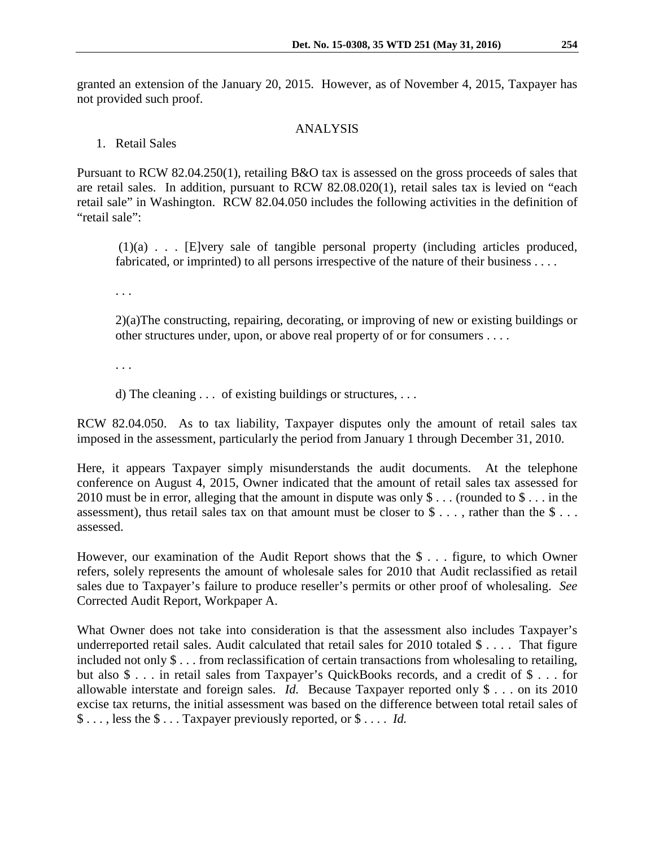granted an extension of the January 20, 2015. However, as of November 4, 2015, Taxpayer has not provided such proof.

### ANALYSIS

## 1. Retail Sales

Pursuant to RCW 82.04.250(1), retailing B&O tax is assessed on the gross proceeds of sales that are retail sales. In addition, pursuant to RCW 82.08.020(1), retail sales tax is levied on "each retail sale" in Washington. RCW 82.04.050 includes the following activities in the definition of "retail sale":

(1)(a) . . . [E]very sale of tangible personal property (including articles produced, fabricated, or imprinted) to all persons irrespective of the nature of their business . . . .

. . .

2)(a)The constructing, repairing, decorating, or improving of new or existing buildings or other structures under, upon, or above real property of or for consumers . . . .

. . .

d) The cleaning . . . of existing buildings or structures, . . .

RCW 82.04.050. As to tax liability, Taxpayer disputes only the amount of retail sales tax imposed in the assessment, particularly the period from January 1 through December 31, 2010.

Here, it appears Taxpayer simply misunderstands the audit documents. At the telephone conference on August 4, 2015, Owner indicated that the amount of retail sales tax assessed for 2010 must be in error, alleging that the amount in dispute was only \$ . . . (rounded to \$ . . . in the assessment), thus retail sales tax on that amount must be closer to  $\frac{1}{2}$ ..., rather than the  $\frac{1}{2}$ ... assessed.

However, our examination of the Audit Report shows that the \$ . . . figure, to which Owner refers, solely represents the amount of wholesale sales for 2010 that Audit reclassified as retail sales due to Taxpayer's failure to produce reseller's permits or other proof of wholesaling. *See* Corrected Audit Report, Workpaper A.

What Owner does not take into consideration is that the assessment also includes Taxpayer's underreported retail sales. Audit calculated that retail sales for 2010 totaled \$ . . . . That figure included not only \$ . . . from reclassification of certain transactions from wholesaling to retailing, but also \$ . . . in retail sales from Taxpayer's QuickBooks records, and a credit of \$ . . . for allowable interstate and foreign sales. *Id.* Because Taxpayer reported only \$ . . . on its 2010 excise tax returns, the initial assessment was based on the difference between total retail sales of \$ . . . , less the \$ . . . Taxpayer previously reported, or \$ . . . . *Id.*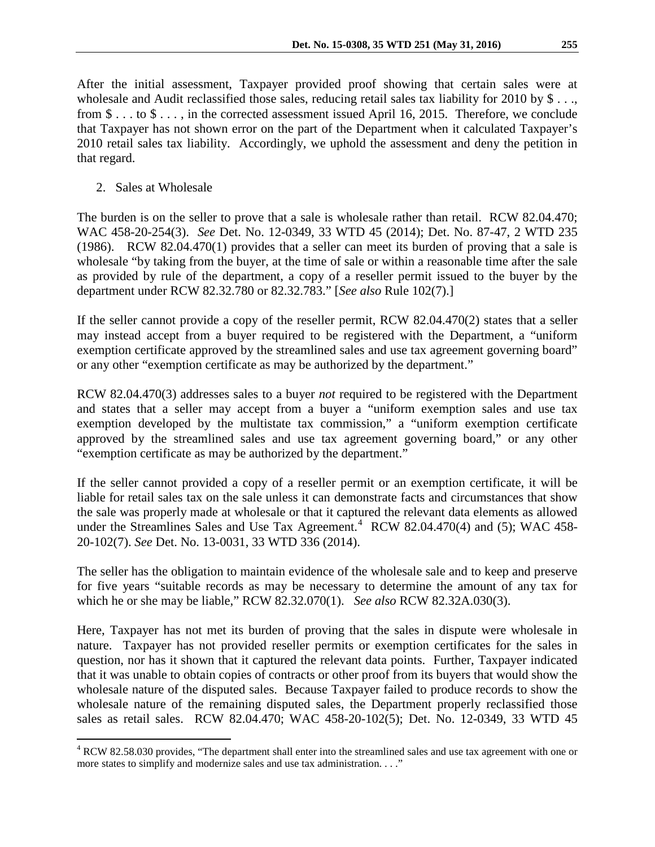After the initial assessment, Taxpayer provided proof showing that certain sales were at wholesale and Audit reclassified those sales, reducing retail sales tax liability for 2010 by \$ . . ., from \$ . . . to \$ . . . , in the corrected assessment issued April 16, 2015. Therefore, we conclude that Taxpayer has not shown error on the part of the Department when it calculated Taxpayer's 2010 retail sales tax liability. Accordingly, we uphold the assessment and deny the petition in that regard.

2. Sales at Wholesale

The burden is on the seller to prove that a sale is wholesale rather than retail. RCW 82.04.470; WAC 458-20-254(3). *See* Det. No. 12-0349, 33 WTD 45 (2014); Det. No. 87-47, 2 WTD 235 (1986). RCW 82.04.470(1) provides that a seller can meet its burden of proving that a sale is wholesale "by taking from the buyer, at the time of sale or within a reasonable time after the sale as provided by rule of the department, a copy of a reseller permit issued to the buyer by the department under RCW 82.32.780 or 82.32.783." [*See also* Rule 102(7).]

If the seller cannot provide a copy of the reseller permit, RCW 82.04.470(2) states that a seller may instead accept from a buyer required to be registered with the Department, a "uniform exemption certificate approved by the streamlined sales and use tax agreement governing board" or any other "exemption certificate as may be authorized by the department."

RCW 82.04.470(3) addresses sales to a buyer *not* required to be registered with the Department and states that a seller may accept from a buyer a "uniform exemption sales and use tax exemption developed by the multistate tax commission," a "uniform exemption certificate approved by the streamlined sales and use tax agreement governing board," or any other "exemption certificate as may be authorized by the department."

If the seller cannot provided a copy of a reseller permit or an exemption certificate, it will be liable for retail sales tax on the sale unless it can demonstrate facts and circumstances that show the sale was properly made at wholesale or that it captured the relevant data elements as allowed under the Streamlines Sales and Use Tax Agreement.<sup>[4](#page-4-0)</sup> RCW 82.04.470(4) and (5); WAC 458-20-102(7). *See* Det. No. 13-0031, 33 WTD 336 (2014).

The seller has the obligation to maintain evidence of the wholesale sale and to keep and preserve for five years "suitable records as may be necessary to determine the amount of any tax for which he or she may be liable," RCW 82.32.070(1). *See also* RCW 82.32A.030(3).

Here, Taxpayer has not met its burden of proving that the sales in dispute were wholesale in nature. Taxpayer has not provided reseller permits or exemption certificates for the sales in question, nor has it shown that it captured the relevant data points. Further, Taxpayer indicated that it was unable to obtain copies of contracts or other proof from its buyers that would show the wholesale nature of the disputed sales. Because Taxpayer failed to produce records to show the wholesale nature of the remaining disputed sales, the Department properly reclassified those sales as retail sales. RCW 82.04.470; WAC 458-20-102(5); Det. No. 12-0349, 33 WTD 45

<span id="page-4-0"></span><sup>&</sup>lt;sup>4</sup> RCW 82.58.030 provides, "The department shall enter into the streamlined sales and use tax agreement with one or more states to simplify and modernize sales and use tax administration. . . ."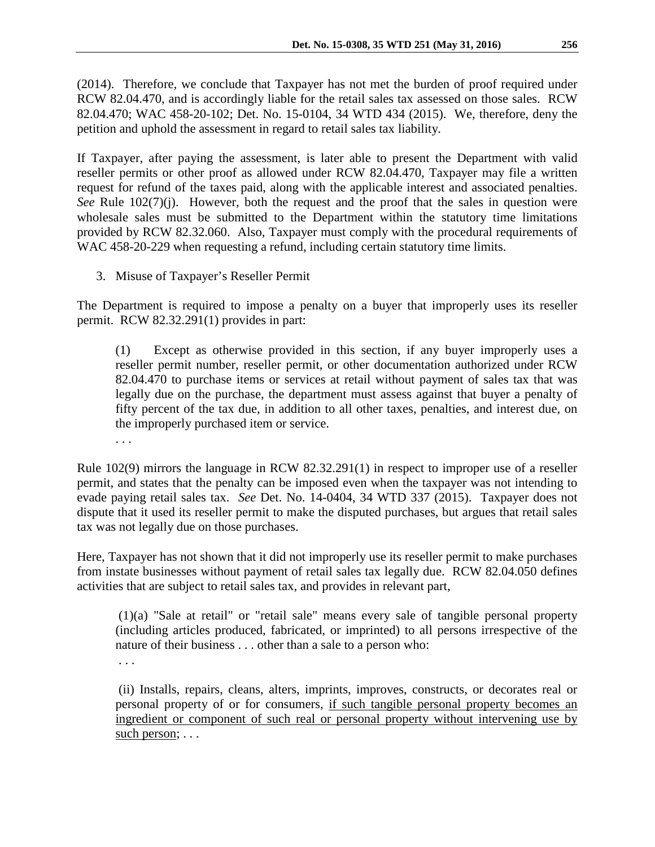(2014). Therefore, we conclude that Taxpayer has not met the burden of proof required under RCW 82.04.470, and is accordingly liable for the retail sales tax assessed on those sales. RCW 82.04.470; WAC 458-20-102; Det. No. 15-0104, 34 WTD 434 (2015). We, therefore, deny the petition and uphold the assessment in regard to retail sales tax liability.

If Taxpayer, after paying the assessment, is later able to present the Department with valid reseller permits or other proof as allowed under RCW 82.04.470, Taxpayer may file a written request for refund of the taxes paid, along with the applicable interest and associated penalties. *See* Rule 102(7)(j). However, both the request and the proof that the sales in question were wholesale sales must be submitted to the Department within the statutory time limitations provided by RCW 82.32.060. Also, Taxpayer must comply with the procedural requirements of WAC 458-20-229 when requesting a refund, including certain statutory time limits.

3. Misuse of Taxpayer's Reseller Permit

The Department is required to impose a penalty on a buyer that improperly uses its reseller permit. RCW 82.32.291(1) provides in part:

(1) Except as otherwise provided in this section, if any buyer improperly uses a reseller permit number, reseller permit, or other documentation authorized under RCW 82.04.470 to purchase items or services at retail without payment of sales tax that was legally due on the purchase, the department must assess against that buyer a penalty of fifty percent of the tax due, in addition to all other taxes, penalties, and interest due, on the improperly purchased item or service.

. . .

Rule 102(9) mirrors the language in RCW 82.32.291(1) in respect to improper use of a reseller permit, and states that the penalty can be imposed even when the taxpayer was not intending to evade paying retail sales tax. *See* Det. No. 14-0404, 34 WTD 337 (2015). Taxpayer does not dispute that it used its reseller permit to make the disputed purchases, but argues that retail sales tax was not legally due on those purchases.

Here, Taxpayer has not shown that it did not improperly use its reseller permit to make purchases from instate businesses without payment of retail sales tax legally due. RCW 82.04.050 defines activities that are subject to retail sales tax, and provides in relevant part,

(1)(a) "Sale at retail" or "retail sale" means every sale of tangible personal property (including articles produced, fabricated, or imprinted) to all persons irrespective of the nature of their business . . . other than a sale to a person who:

. . .

(ii) Installs, repairs, cleans, alters, imprints, improves, constructs, or decorates real or personal property of or for consumers, if such tangible personal property becomes an ingredient or component of such real or personal property without intervening use by such person; . . .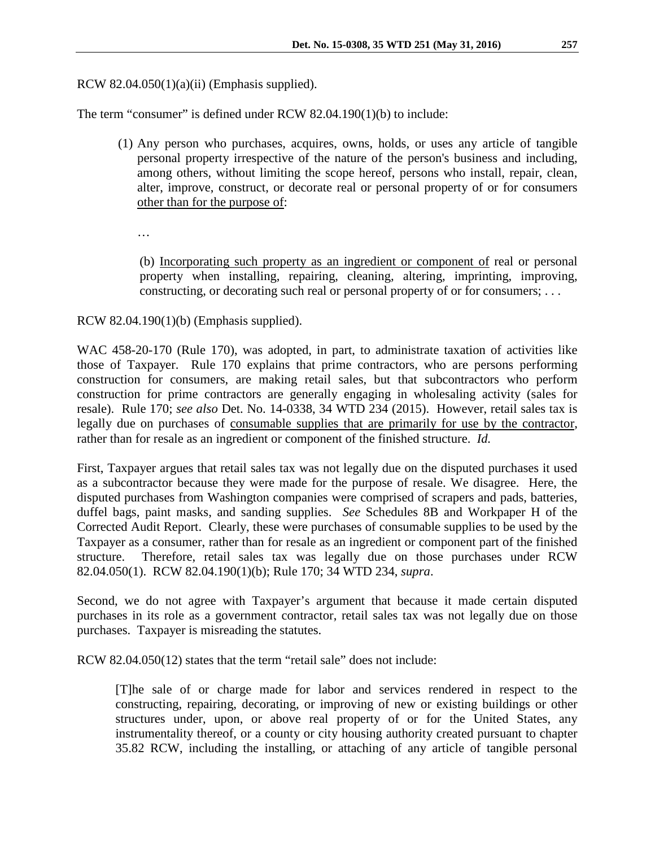RCW  $82.04.050(1)(a)(ii)$  (Emphasis supplied).

The term "consumer" is defined under RCW 82.04.190(1)(b) to include:

- (1) Any person who purchases, acquires, owns, holds, or uses any article of tangible personal property irrespective of the nature of the person's business and including, among others, without limiting the scope hereof, persons who install, repair, clean, alter, improve, construct, or decorate real or personal property of or for consumers other than for the purpose of:
	- …

(b) Incorporating such property as an ingredient or component of real or personal property when installing, repairing, cleaning, altering, imprinting, improving, constructing, or decorating such real or personal property of or for consumers; . . .

RCW 82.04.190(1)(b) (Emphasis supplied).

WAC 458-20-170 (Rule 170), was adopted, in part, to administrate taxation of activities like those of Taxpayer. Rule 170 explains that prime contractors, who are persons performing construction for consumers, are making retail sales, but that subcontractors who perform construction for prime contractors are generally engaging in wholesaling activity (sales for resale). Rule 170; *see also* Det. No. 14-0338, 34 WTD 234 (2015). However, retail sales tax is legally due on purchases of consumable supplies that are primarily for use by the contractor, rather than for resale as an ingredient or component of the finished structure. *Id.* 

First, Taxpayer argues that retail sales tax was not legally due on the disputed purchases it used as a subcontractor because they were made for the purpose of resale. We disagree. Here, the disputed purchases from Washington companies were comprised of scrapers and pads, batteries, duffel bags, paint masks, and sanding supplies. *See* Schedules 8B and Workpaper H of the Corrected Audit Report. Clearly, these were purchases of consumable supplies to be used by the Taxpayer as a consumer, rather than for resale as an ingredient or component part of the finished structure. Therefore, retail sales tax was legally due on those purchases under RCW 82.04.050(1). RCW 82.04.190(1)(b); Rule 170; 34 WTD 234, *supra*.

Second, we do not agree with Taxpayer's argument that because it made certain disputed purchases in its role as a government contractor, retail sales tax was not legally due on those purchases. Taxpayer is misreading the statutes.

RCW 82.04.050(12) states that the term "retail sale" does not include:

[T]he sale of or charge made for labor and services rendered in respect to the constructing, repairing, decorating, or improving of new or existing buildings or other structures under, upon, or above real property of or for the United States, any instrumentality thereof, or a county or city housing authority created pursuant to chapter 35.82 RCW, including the installing, or attaching of any article of tangible personal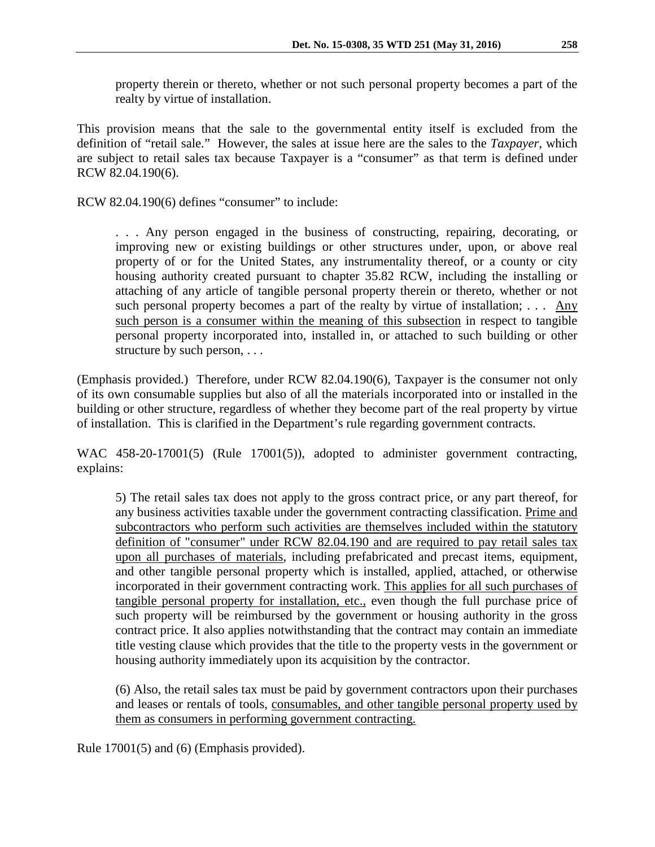property therein or thereto, whether or not such personal property becomes a part of the realty by virtue of installation.

This provision means that the sale to the governmental entity itself is excluded from the definition of "retail sale." However, the sales at issue here are the sales to the *Taxpayer*, which are subject to retail sales tax because Taxpayer is a "consumer" as that term is defined under RCW 82.04.190(6).

RCW 82.04.190(6) defines "consumer" to include:

. . . Any person engaged in the business of constructing, repairing, decorating, or improving new or existing buildings or other structures under, upon, or above real property of or for the United States, any instrumentality thereof, or a county or city housing authority created pursuant to chapter 35.82 RCW, including the installing or attaching of any article of tangible personal property therein or thereto, whether or not such personal property becomes a part of the realty by virtue of installation; . . . Any such person is a consumer within the meaning of this subsection in respect to tangible personal property incorporated into, installed in, or attached to such building or other structure by such person, . . .

(Emphasis provided.) Therefore, under RCW 82.04.190(6), Taxpayer is the consumer not only of its own consumable supplies but also of all the materials incorporated into or installed in the building or other structure, regardless of whether they become part of the real property by virtue of installation. This is clarified in the Department's rule regarding government contracts.

WAC 458-20-17001(5) (Rule 17001(5)), adopted to administer government contracting, explains:

5) The retail sales tax does not apply to the gross contract price, or any part thereof, for any business activities taxable under the government contracting classification. Prime and subcontractors who perform such activities are themselves included within the statutory definition of "consumer" under RCW 82.04.190 and are required to pay retail sales tax upon all purchases of materials, including prefabricated and precast items, equipment, and other tangible personal property which is installed, applied, attached, or otherwise incorporated in their government contracting work. This applies for all such purchases of tangible personal property for installation, etc., even though the full purchase price of such property will be reimbursed by the government or housing authority in the gross contract price. It also applies notwithstanding that the contract may contain an immediate title vesting clause which provides that the title to the property vests in the government or housing authority immediately upon its acquisition by the contractor.

(6) Also, the retail sales tax must be paid by government contractors upon their purchases and leases or rentals of tools, consumables, and other tangible personal property used by them as consumers in performing government contracting.

Rule 17001(5) and (6) (Emphasis provided).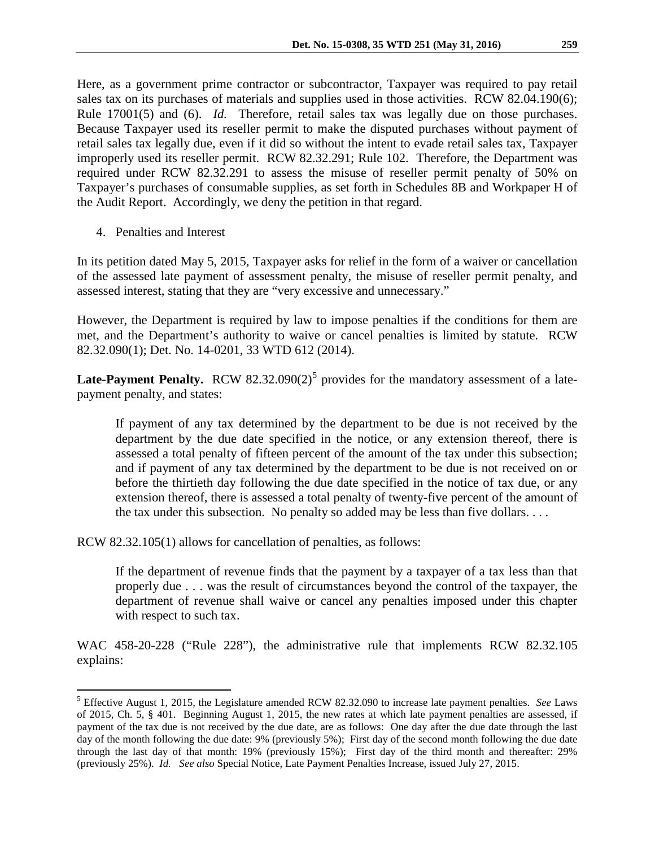Here, as a government prime contractor or subcontractor, Taxpayer was required to pay retail sales tax on its purchases of materials and supplies used in those activities. RCW 82.04.190(6); Rule 17001(5) and (6). *Id.* Therefore, retail sales tax was legally due on those purchases. Because Taxpayer used its reseller permit to make the disputed purchases without payment of retail sales tax legally due, even if it did so without the intent to evade retail sales tax, Taxpayer improperly used its reseller permit. RCW 82.32.291; Rule 102. Therefore, the Department was required under RCW 82.32.291 to assess the misuse of reseller permit penalty of 50% on Taxpayer's purchases of consumable supplies, as set forth in Schedules 8B and Workpaper H of the Audit Report. Accordingly, we deny the petition in that regard.

4. Penalties and Interest

In its petition dated May 5, 2015, Taxpayer asks for relief in the form of a waiver or cancellation of the assessed late payment of assessment penalty, the misuse of reseller permit penalty, and assessed interest, stating that they are "very excessive and unnecessary."

However, the Department is required by law to impose penalties if the conditions for them are met, and the Department's authority to waive or cancel penalties is limited by statute. RCW 82.32.090(1); Det. No. 14-0201, 33 WTD 612 (2014).

**Late-Payment Penalty.** RCW 82.32.090(2)<sup>[5](#page-8-0)</sup> provides for the mandatory assessment of a latepayment penalty, and states:

If payment of any tax determined by the department to be due is not received by the department by the due date specified in the notice, or any extension thereof, there is assessed a total penalty of fifteen percent of the amount of the tax under this subsection; and if payment of any tax determined by the department to be due is not received on or before the thirtieth day following the due date specified in the notice of tax due, or any extension thereof, there is assessed a total penalty of twenty-five percent of the amount of the tax under this subsection. No penalty so added may be less than five dollars. . . .

RCW 82.32.105(1) allows for cancellation of penalties, as follows:

If the department of revenue finds that the payment by a taxpayer of a tax less than that properly due . . . was the result of circumstances beyond the control of the taxpayer, the department of revenue shall waive or cancel any penalties imposed under this chapter with respect to such tax.

WAC 458-20-228 ("Rule 228"), the administrative rule that implements RCW 82.32.105 explains:

<span id="page-8-0"></span> <sup>5</sup> Effective August 1, 2015, the Legislature amended RCW 82.32.090 to increase late payment penalties. *See* Laws of 2015, Ch. 5, § 401. Beginning August 1, 2015, the new rates at which late payment penalties are assessed, if payment of the tax due is not received by the due date, are as follows: One day after the due date through the last day of the month following the due date: 9% (previously 5%); First day of the second month following the due date through the last day of that month: 19% (previously 15%); First day of the third month and thereafter: 29% (previously 25%). *Id. See also* Special Notice, Late Payment Penalties Increase, issued July 27, 2015.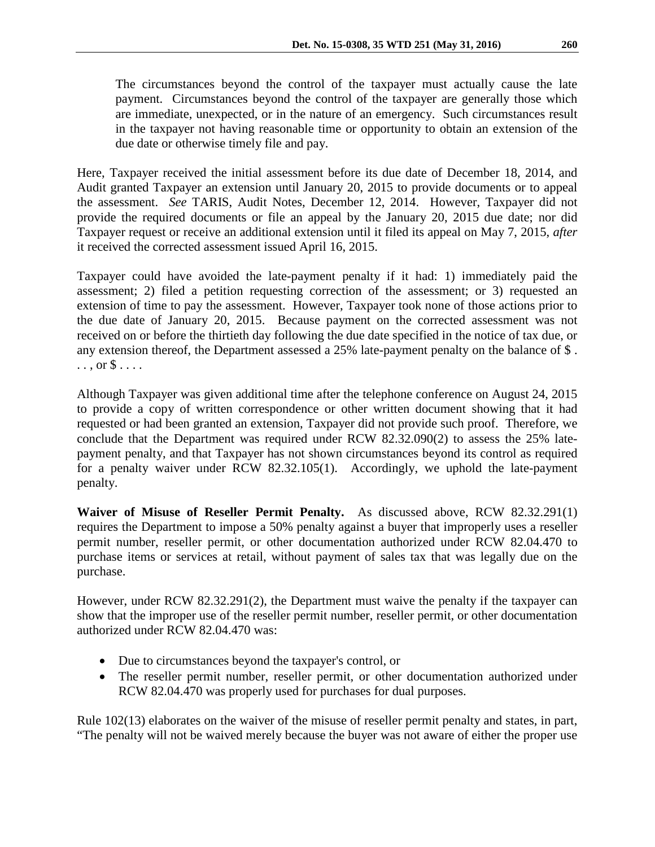The circumstances beyond the control of the taxpayer must actually cause the late payment. Circumstances beyond the control of the taxpayer are generally those which are immediate, unexpected, or in the nature of an emergency. Such circumstances result in the taxpayer not having reasonable time or opportunity to obtain an extension of the due date or otherwise timely file and pay.

Here, Taxpayer received the initial assessment before its due date of December 18, 2014, and Audit granted Taxpayer an extension until January 20, 2015 to provide documents or to appeal the assessment. *See* TARIS, Audit Notes, December 12, 2014. However, Taxpayer did not provide the required documents or file an appeal by the January 20, 2015 due date; nor did Taxpayer request or receive an additional extension until it filed its appeal on May 7, 2015, *after* it received the corrected assessment issued April 16, 2015.

Taxpayer could have avoided the late-payment penalty if it had: 1) immediately paid the assessment; 2) filed a petition requesting correction of the assessment; or 3) requested an extension of time to pay the assessment. However, Taxpayer took none of those actions prior to the due date of January 20, 2015. Because payment on the corrected assessment was not received on or before the thirtieth day following the due date specified in the notice of tax due, or any extension thereof, the Department assessed a 25% late-payment penalty on the balance of \$ .  $\ldots$ , or  $\$\ldots$ .

Although Taxpayer was given additional time after the telephone conference on August 24, 2015 to provide a copy of written correspondence or other written document showing that it had requested or had been granted an extension, Taxpayer did not provide such proof. Therefore, we conclude that the Department was required under RCW 82.32.090(2) to assess the 25% latepayment penalty, and that Taxpayer has not shown circumstances beyond its control as required for a penalty waiver under RCW 82.32.105(1). Accordingly, we uphold the late-payment penalty.

**Waiver of Misuse of Reseller Permit Penalty.** As discussed above, RCW 82.32.291(1) requires the Department to impose a 50% penalty against a buyer that improperly uses a reseller permit number, reseller permit, or other documentation authorized under RCW 82.04.470 to purchase items or services at retail, without payment of sales tax that was legally due on the purchase.

However, under RCW 82.32.291(2), the Department must waive the penalty if the taxpayer can show that the improper use of the reseller permit number, reseller permit, or other documentation authorized under RCW 82.04.470 was:

- Due to circumstances beyond the taxpayer's control, or
- The reseller permit number, reseller permit, or other documentation authorized under RCW 82.04.470 was properly used for purchases for dual purposes.

Rule 102(13) elaborates on the waiver of the misuse of reseller permit penalty and states, in part, "The penalty will not be waived merely because the buyer was not aware of either the proper use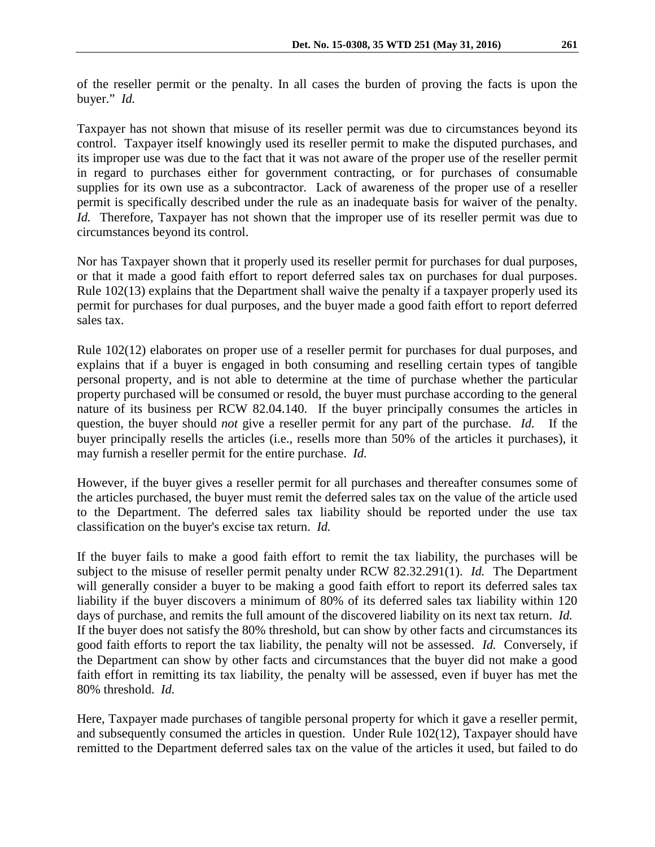of the reseller permit or the penalty. In all cases the burden of proving the facts is upon the buyer." *Id.*

Taxpayer has not shown that misuse of its reseller permit was due to circumstances beyond its control. Taxpayer itself knowingly used its reseller permit to make the disputed purchases, and its improper use was due to the fact that it was not aware of the proper use of the reseller permit in regard to purchases either for government contracting, or for purchases of consumable supplies for its own use as a subcontractor. Lack of awareness of the proper use of a reseller permit is specifically described under the rule as an inadequate basis for waiver of the penalty. *Id.* Therefore, Taxpayer has not shown that the improper use of its reseller permit was due to circumstances beyond its control.

Nor has Taxpayer shown that it properly used its reseller permit for purchases for dual purposes, or that it made a good faith effort to report deferred sales tax on purchases for dual purposes. Rule 102(13) explains that the Department shall waive the penalty if a taxpayer properly used its permit for purchases for dual purposes, and the buyer made a good faith effort to report deferred sales tax.

Rule 102(12) elaborates on proper use of a reseller permit for purchases for dual purposes, and explains that if a buyer is engaged in both consuming and reselling certain types of tangible personal property, and is not able to determine at the time of purchase whether the particular property purchased will be consumed or resold, the buyer must purchase according to the general nature of its business per RCW 82.04.140. If the buyer principally consumes the articles in question, the buyer should *not* give a reseller permit for any part of the purchase. *Id.* If the buyer principally resells the articles (i.e., resells more than 50% of the articles it purchases), it may furnish a reseller permit for the entire purchase. *Id.*

However, if the buyer gives a reseller permit for all purchases and thereafter consumes some of the articles purchased, the buyer must remit the deferred sales tax on the value of the article used to the Department. The deferred sales tax liability should be reported under the use tax classification on the buyer's excise tax return. *Id.*

If the buyer fails to make a good faith effort to remit the tax liability, the purchases will be subject to the misuse of reseller permit penalty under RCW 82.32.291(1). *Id.* The Department will generally consider a buyer to be making a good faith effort to report its deferred sales tax liability if the buyer discovers a minimum of 80% of its deferred sales tax liability within 120 days of purchase, and remits the full amount of the discovered liability on its next tax return. *Id.* If the buyer does not satisfy the 80% threshold, but can show by other facts and circumstances its good faith efforts to report the tax liability, the penalty will not be assessed. *Id.* Conversely, if the Department can show by other facts and circumstances that the buyer did not make a good faith effort in remitting its tax liability, the penalty will be assessed, even if buyer has met the 80% threshold. *Id.*

Here, Taxpayer made purchases of tangible personal property for which it gave a reseller permit, and subsequently consumed the articles in question. Under Rule 102(12), Taxpayer should have remitted to the Department deferred sales tax on the value of the articles it used, but failed to do